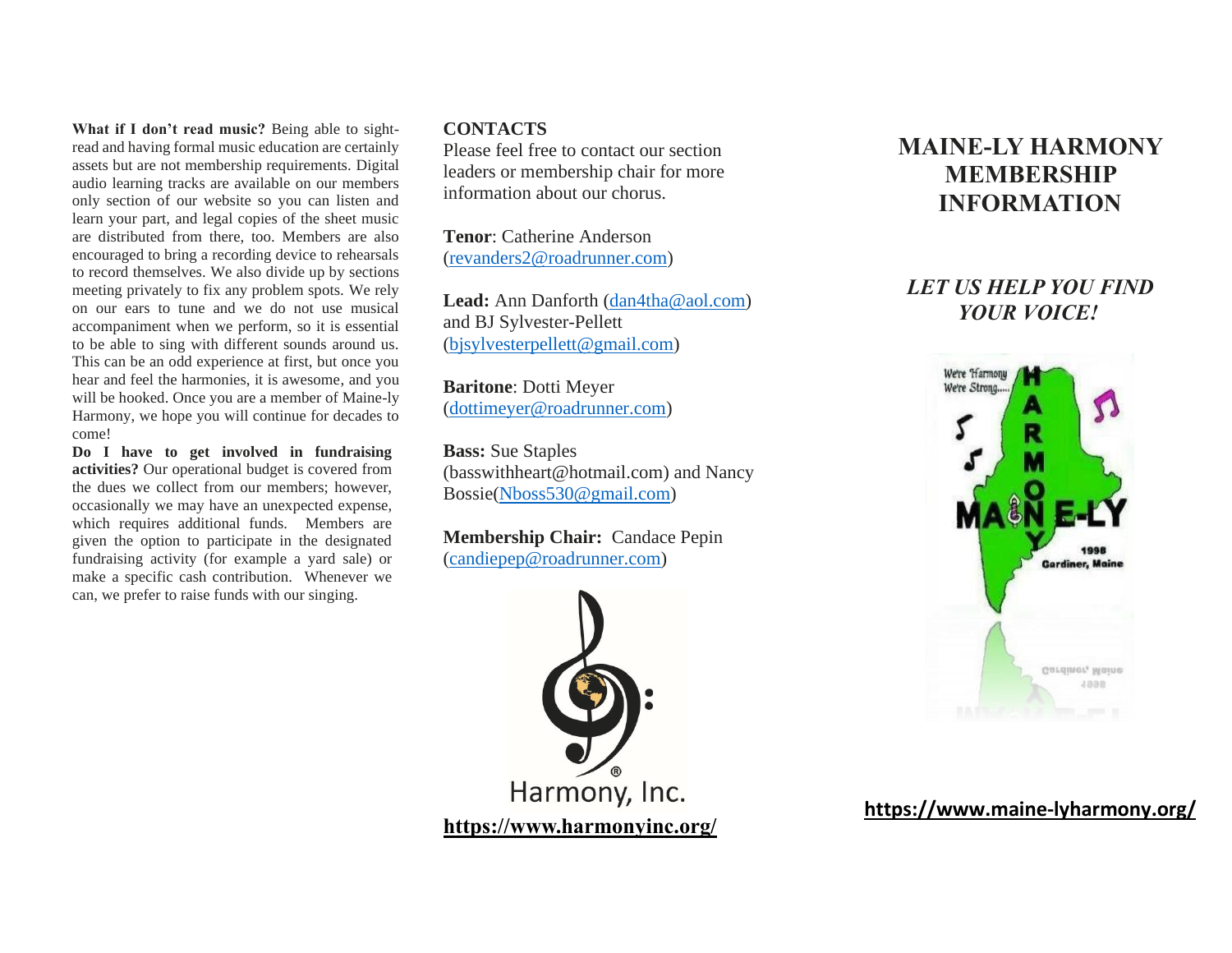**What if I don't read music?** Being able to sightread and having formal music education are certainly assets but are not membership requirements. Digital audio learning tracks are available on our members only section of our website so you can listen and learn your part, and legal copies of the sheet music are distributed from there, too. Members are also encouraged to bring a recording device to rehearsals to record themselves. We also divide up by sections meeting privately to fix any problem spots. We rely on our ears to tune and we do not use musical accompaniment when we perform, so it is essential to be able to sing with different sounds around us. This can be an odd experience at first, but once you hear and feel the harmonies, it is awesome, and you will be hooked. Once you are a member of Maine-ly Harmony, we hope you will continue for decades to come!

**Do I have to get involved in fundraising activities?** Our operational budget is covered from the dues we collect from our members; however, occasionally we may have an unexpected expense, which requires additional funds. Members are given the option to participate in the designated fundraising activity (for example a yard sale) or make a specific cash contribution. Whenever we can, we prefer to raise funds with our singing.

## **CONTACTS**

Please feel free to contact our section leaders or membership chair for more information about our chorus.

**Tenor**: Catherine Anderson [\(revanders2@roadrunner.com\)](mailto:revanders2@roadrunner.com)

Lead: Ann Danforth [\(dan4tha@aol.com\)](mailto:dan4tha@aol.com) and BJ Sylvester-Pellett [\(bjsylvesterpellett@gmail.com\)](mailto:bjsylvesterpellett@gmail.com)

**Baritone**: Dotti Meyer [\(dottimeyer@roadrunner.com\)](mailto:dottimeyer@roadrunner.com)

**Bass:** Sue Staples (basswithheart@hotmail.com) and Nancy Bossie[\(Nboss530@gmail.com\)](mailto:Nboss530@gmail.com)

**Membership Chair:** Candace Pepin [\(candiepep@roadrunner.com\)](mailto:candiepep@roadrunner.com)



# **MAINE-LY HARMONY MEMBERSHIP INFORMATION**

## *LET US HELP YOU FIND YOUR VOICE!*



**<https://www.maine-lyharmony.org/>**